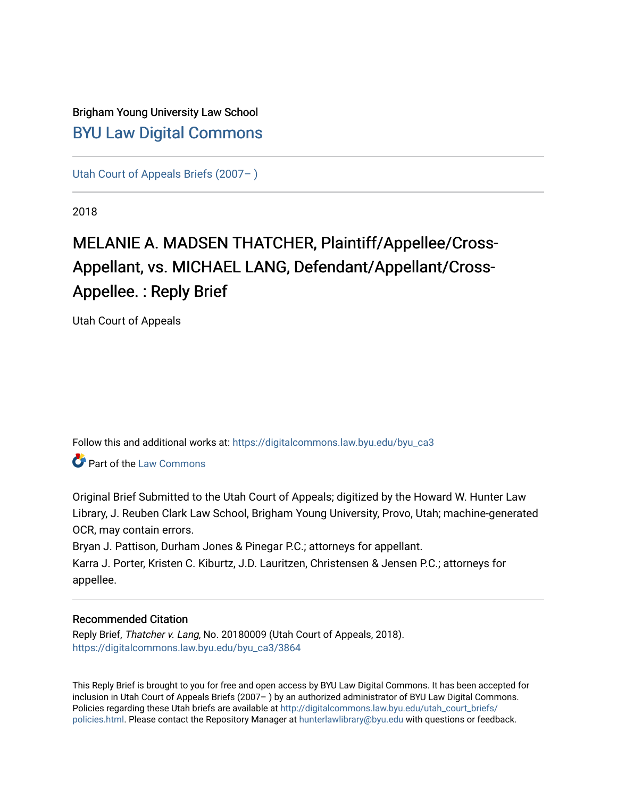# Brigham Young University Law School [BYU Law Digital Commons](https://digitalcommons.law.byu.edu/)

[Utah Court of Appeals Briefs \(2007– \)](https://digitalcommons.law.byu.edu/byu_ca3) 

2018

# MELANIE A. MADSEN THATCHER, Plaintiff/Appellee/Cross-Appellant, vs. MICHAEL LANG, Defendant/Appellant/Cross-Appellee. : Reply Brief

Utah Court of Appeals

Follow this and additional works at: [https://digitalcommons.law.byu.edu/byu\\_ca3](https://digitalcommons.law.byu.edu/byu_ca3?utm_source=digitalcommons.law.byu.edu%2Fbyu_ca3%2F3864&utm_medium=PDF&utm_campaign=PDFCoverPages) 

**Part of the [Law Commons](https://network.bepress.com/hgg/discipline/578?utm_source=digitalcommons.law.byu.edu%2Fbyu_ca3%2F3864&utm_medium=PDF&utm_campaign=PDFCoverPages)** 

Original Brief Submitted to the Utah Court of Appeals; digitized by the Howard W. Hunter Law Library, J. Reuben Clark Law School, Brigham Young University, Provo, Utah; machine-generated OCR, may contain errors.

Bryan J. Pattison, Durham Jones & Pinegar P.C.; attorneys for appellant.

Karra J. Porter, Kristen C. Kiburtz, J.D. Lauritzen, Christensen & Jensen P.C.; attorneys for appellee.

#### Recommended Citation

Reply Brief, Thatcher v. Lang, No. 20180009 (Utah Court of Appeals, 2018). [https://digitalcommons.law.byu.edu/byu\\_ca3/3864](https://digitalcommons.law.byu.edu/byu_ca3/3864?utm_source=digitalcommons.law.byu.edu%2Fbyu_ca3%2F3864&utm_medium=PDF&utm_campaign=PDFCoverPages) 

This Reply Brief is brought to you for free and open access by BYU Law Digital Commons. It has been accepted for inclusion in Utah Court of Appeals Briefs (2007– ) by an authorized administrator of BYU Law Digital Commons. Policies regarding these Utah briefs are available at [http://digitalcommons.law.byu.edu/utah\\_court\\_briefs/](http://digitalcommons.law.byu.edu/utah_court_briefs/policies.html) [policies.html](http://digitalcommons.law.byu.edu/utah_court_briefs/policies.html). Please contact the Repository Manager at hunterlawlibrary@byu.edu with questions or feedback.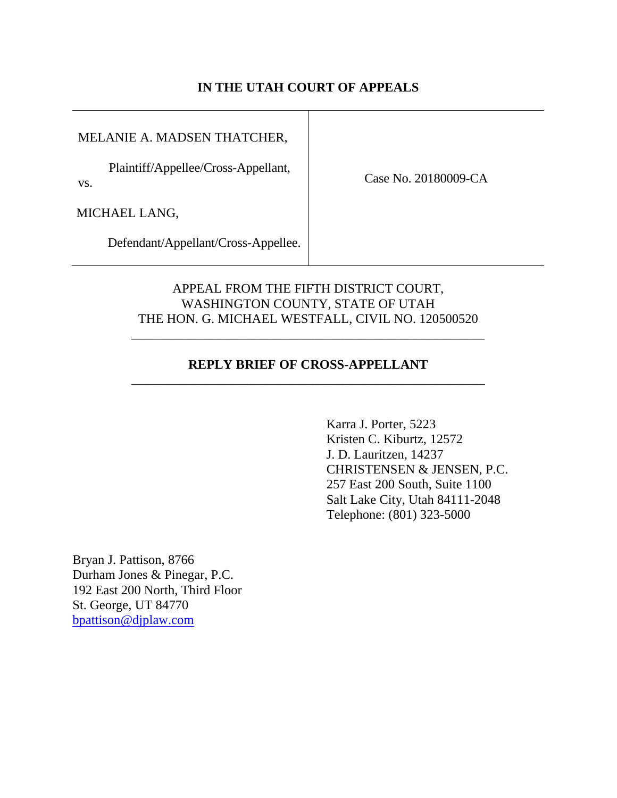#### **IN THE UTAH COURT OF APPEALS**

MELANIE A. MADSEN THATCHER,

Plaintiff/Appellee/Cross-Appellant, vs.

Case No. 20180009-CA

MICHAEL LANG,

Defendant/Appellant/Cross-Appellee.

#### APPEAL FROM THE FIFTH DISTRICT COURT, WASHINGTON COUNTY, STATE OF UTAH THE HON. G. MICHAEL WESTFALL, CIVIL NO. 120500520

#### **REPLY BRIEF OF CROSS-APPELLANT** \_\_\_\_\_\_\_\_\_\_\_\_\_\_\_\_\_\_\_\_\_\_\_\_\_\_\_\_\_\_\_\_\_\_\_\_\_\_\_\_\_\_\_\_\_\_\_\_\_\_\_\_\_\_

\_\_\_\_\_\_\_\_\_\_\_\_\_\_\_\_\_\_\_\_\_\_\_\_\_\_\_\_\_\_\_\_\_\_\_\_\_\_\_\_\_\_\_\_\_\_\_\_\_\_\_\_\_\_

Karra J. Porter, 5223 Kristen C. Kiburtz, 12572 J. D. Lauritzen, 14237 CHRISTENSEN & JENSEN, P.C. 257 East 200 South, Suite 1100 Salt Lake City, Utah 84111-2048 Telephone: (801) 323-5000

Bryan J. Pattison, 8766 Durham Jones & Pinegar, P.C. 192 East 200 North, Third Floor St. George, UT 84770 [bpattison@djplaw.com](mailto:bpattison@djplaw.com)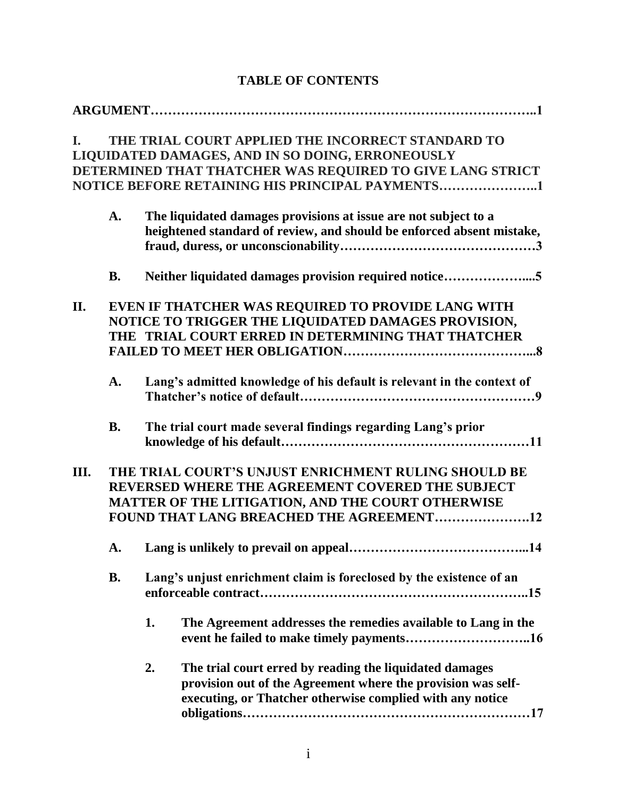| I.  |           | THE TRIAL COURT APPLIED THE INCORRECT STANDARD TO<br>LIQUIDATED DAMAGES, AND IN SO DOING, ERRONEOUSLY<br>DETERMINED THAT THATCHER WAS REQUIRED TO GIVE LANG STRICT<br>NOTICE BEFORE RETAINING HIS PRINCIPAL PAYMENTS1 |
|-----|-----------|-----------------------------------------------------------------------------------------------------------------------------------------------------------------------------------------------------------------------|
|     | A.        | The liquidated damages provisions at issue are not subject to a<br>heightened standard of review, and should be enforced absent mistake,                                                                              |
|     | <b>B.</b> | Neither liquidated damages provision required notice5                                                                                                                                                                 |
| II. |           | EVEN IF THATCHER WAS REQUIRED TO PROVIDE LANG WITH<br>NOTICE TO TRIGGER THE LIQUIDATED DAMAGES PROVISION,<br>THE TRIAL COURT ERRED IN DETERMINING THAT THATCHER                                                       |
|     | A.        | Lang's admitted knowledge of his default is relevant in the context of                                                                                                                                                |
|     | <b>B.</b> | The trial court made several findings regarding Lang's prior                                                                                                                                                          |
| Ш.  |           | THE TRIAL COURT'S UNJUST ENRICHMENT RULING SHOULD BE<br>REVERSED WHERE THE AGREEMENT COVERED THE SUBJECT<br>MATTER OF THE LITIGATION, AND THE COURT OTHERWISE<br>FOUND THAT LANG BREACHED THE AGREEMENT12             |
|     |           |                                                                                                                                                                                                                       |
|     | <b>B.</b> | Lang's unjust enrichment claim is foreclosed by the existence of an                                                                                                                                                   |
|     |           | 1.<br>The Agreement addresses the remedies available to Lang in the                                                                                                                                                   |
|     |           | 2.<br>The trial court erred by reading the liquidated damages<br>provision out of the Agreement where the provision was self-<br>executing, or Thatcher otherwise complied with any notice                            |

## **TABLE OF CONTENTS**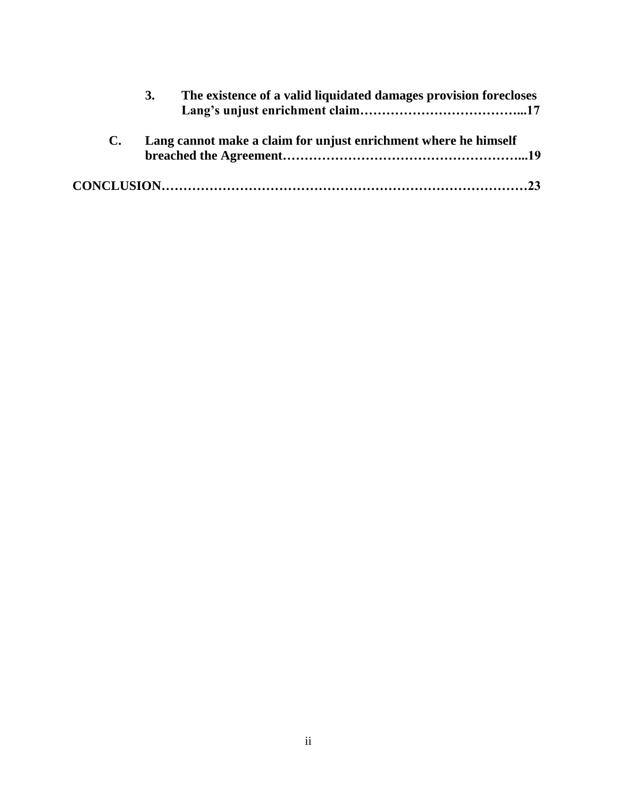| The existence of a valid liquidated damages provision forecloses<br>3. |  |
|------------------------------------------------------------------------|--|
| Lang cannot make a claim for unjust enrichment where he himself        |  |
|                                                                        |  |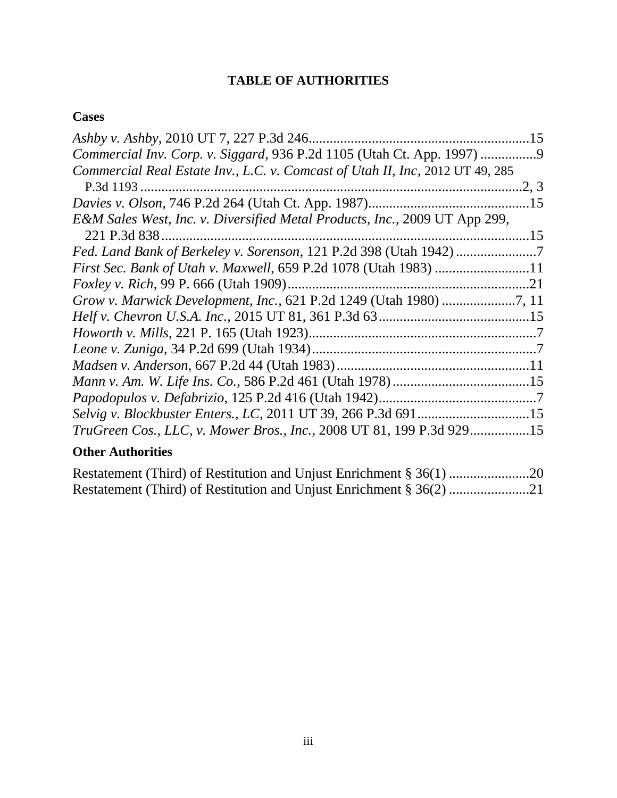# **TABLE OF AUTHORITIES**

## **Cases**

| Ashby v. Ashby, 2010 UT 7, 227 P.3d 246                                       | .15   |
|-------------------------------------------------------------------------------|-------|
| Commercial Inv. Corp. v. Siggard, 936 P.2d 1105 (Utah Ct. App. 1997)          |       |
| Commercial Real Estate Inv., L.C. v. Comcast of Utah II, Inc, 2012 UT 49, 285 |       |
| P.3d 1193                                                                     | .2, 3 |
|                                                                               |       |
| E&M Sales West, Inc. v. Diversified Metal Products, Inc., 2009 UT App 299,    |       |
|                                                                               |       |
| Fed. Land Bank of Berkeley v. Sorenson, 121 P.2d 398 (Utah 1942) 7            |       |
| First Sec. Bank of Utah v. Maxwell, 659 P.2d 1078 (Utah 1983) 11              |       |
|                                                                               |       |
| Grow v. Marwick Development, Inc., 621 P.2d 1249 (Utah 1980) 7, 11            |       |
|                                                                               |       |
|                                                                               |       |
|                                                                               |       |
|                                                                               |       |
|                                                                               |       |
|                                                                               |       |
| Selvig v. Blockbuster Enters., LC, 2011 UT 39, 266 P.3d 69115                 |       |
| TruGreen Cos., LLC, v. Mower Bros., Inc., 2008 UT 81, 199 P.3d 92915          |       |

# **Other Authorities**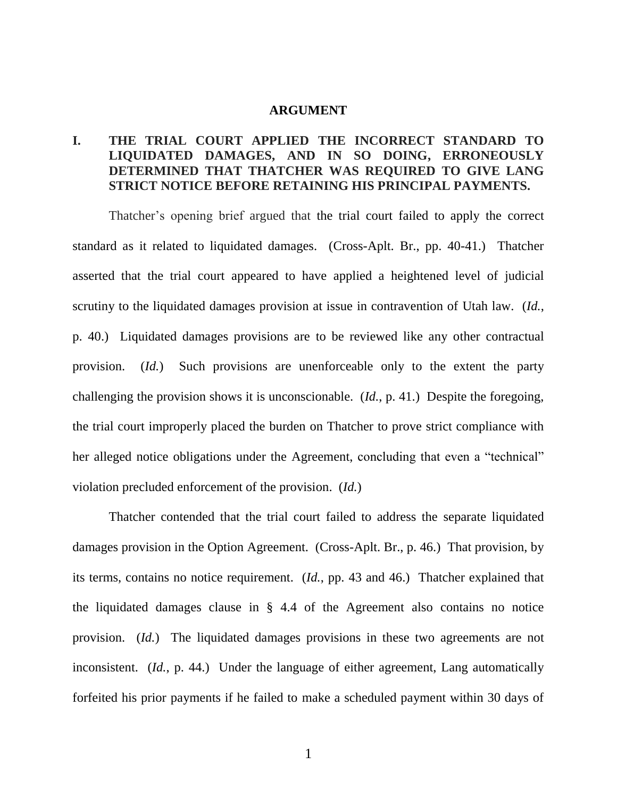#### **ARGUMENT**

## **I. THE TRIAL COURT APPLIED THE INCORRECT STANDARD TO LIQUIDATED DAMAGES, AND IN SO DOING, ERRONEOUSLY DETERMINED THAT THATCHER WAS REQUIRED TO GIVE LANG STRICT NOTICE BEFORE RETAINING HIS PRINCIPAL PAYMENTS.**

Thatcher's opening brief argued that the trial court failed to apply the correct standard as it related to liquidated damages. (Cross-Aplt. Br., pp. 40-41.) Thatcher asserted that the trial court appeared to have applied a heightened level of judicial scrutiny to the liquidated damages provision at issue in contravention of Utah law. (*Id.*, p. 40.) Liquidated damages provisions are to be reviewed like any other contractual provision. (*Id.*) Such provisions are unenforceable only to the extent the party challenging the provision shows it is unconscionable. (*Id.*, p. 41.) Despite the foregoing, the trial court improperly placed the burden on Thatcher to prove strict compliance with her alleged notice obligations under the Agreement, concluding that even a "technical" violation precluded enforcement of the provision. (*Id.*)

Thatcher contended that the trial court failed to address the separate liquidated damages provision in the Option Agreement. (Cross-Aplt. Br., p. 46.) That provision, by its terms, contains no notice requirement. (*Id.*, pp. 43 and 46.) Thatcher explained that the liquidated damages clause in § 4.4 of the Agreement also contains no notice provision. (*Id.*) The liquidated damages provisions in these two agreements are not inconsistent. *(Id., p. 44.)* Under the language of either agreement, Lang automatically forfeited his prior payments if he failed to make a scheduled payment within 30 days of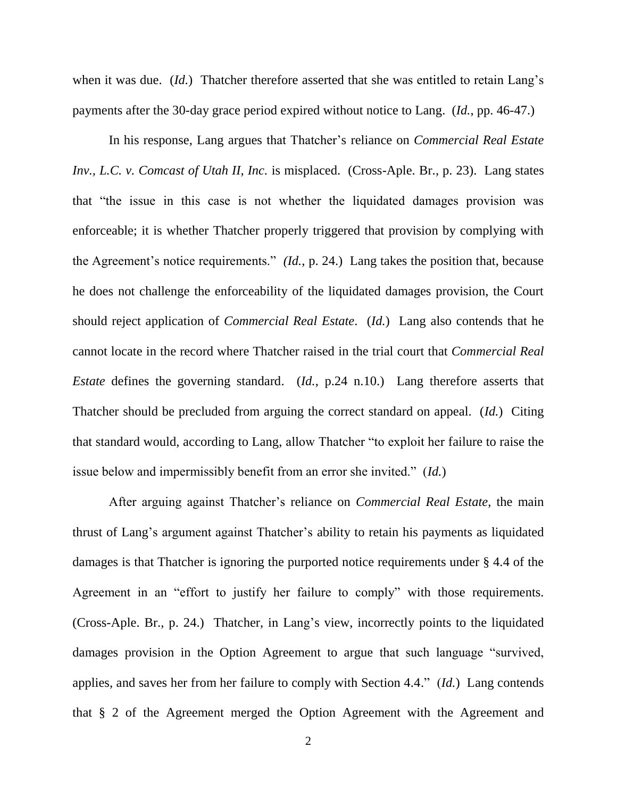when it was due. (*Id.*) Thatcher therefore asserted that she was entitled to retain Lang's payments after the 30-day grace period expired without notice to Lang. (*Id.*, pp. 46-47.)

In his response, Lang argues that Thatcher's reliance on *Commercial Real Estate Inv., L.C. v. Comcast of Utah II, Inc.* is misplaced. (Cross-Aple. Br., p. 23). Lang states that "the issue in this case is not whether the liquidated damages provision was enforceable; it is whether Thatcher properly triggered that provision by complying with the Agreement's notice requirements." *(Id.*, p. 24.) Lang takes the position that, because he does not challenge the enforceability of the liquidated damages provision, the Court should reject application of *Commercial Real Estate*. (*Id.*) Lang also contends that he cannot locate in the record where Thatcher raised in the trial court that *Commercial Real Estate* defines the governing standard. (*Id.*, p.24 n.10.) Lang therefore asserts that Thatcher should be precluded from arguing the correct standard on appeal. (*Id.*) Citing that standard would, according to Lang, allow Thatcher "to exploit her failure to raise the issue below and impermissibly benefit from an error she invited." (*Id.*)

After arguing against Thatcher's reliance on *Commercial Real Estate*, the main thrust of Lang's argument against Thatcher's ability to retain his payments as liquidated damages is that Thatcher is ignoring the purported notice requirements under § 4.4 of the Agreement in an "effort to justify her failure to comply" with those requirements. (Cross-Aple. Br., p. 24.) Thatcher, in Lang's view, incorrectly points to the liquidated damages provision in the Option Agreement to argue that such language "survived, applies, and saves her from her failure to comply with Section 4.4." (*Id.*) Lang contends that § 2 of the Agreement merged the Option Agreement with the Agreement and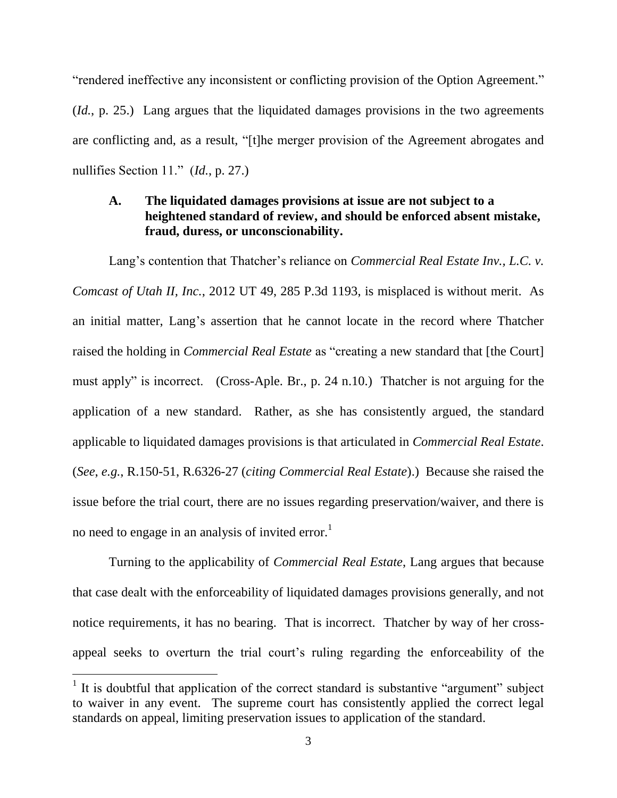"rendered ineffective any inconsistent or conflicting provision of the Option Agreement." (*Id.*, p. 25.) Lang argues that the liquidated damages provisions in the two agreements are conflicting and, as a result, "[t]he merger provision of the Agreement abrogates and nullifies Section 11." (*Id.*, p. 27.)

#### **A. The liquidated damages provisions at issue are not subject to a heightened standard of review, and should be enforced absent mistake, fraud, duress, or unconscionability.**

Lang's contention that Thatcher's reliance on *Commercial Real Estate Inv., L.C. v. Comcast of Utah II, Inc.*, 2012 UT 49, 285 P.3d 1193, is misplaced is without merit. As an initial matter, Lang's assertion that he cannot locate in the record where Thatcher raised the holding in *Commercial Real Estate* as "creating a new standard that [the Court] must apply" is incorrect. (Cross-Aple. Br., p. 24 n.10.) Thatcher is not arguing for the application of a new standard. Rather, as she has consistently argued, the standard applicable to liquidated damages provisions is that articulated in *Commercial Real Estate*. (*See*, *e.g.*, R.150-51, R.6326-27 (*citing Commercial Real Estate*).) Because she raised the issue before the trial court, there are no issues regarding preservation/waiver, and there is no need to engage in an analysis of invited error.<sup>1</sup>

Turning to the applicability of *Commercial Real Estate*, Lang argues that because that case dealt with the enforceability of liquidated damages provisions generally, and not notice requirements, it has no bearing. That is incorrect. Thatcher by way of her crossappeal seeks to overturn the trial court's ruling regarding the enforceability of the

 $\overline{a}$ 

<sup>&</sup>lt;sup>1</sup> It is doubtful that application of the correct standard is substantive "argument" subject to waiver in any event. The supreme court has consistently applied the correct legal standards on appeal, limiting preservation issues to application of the standard.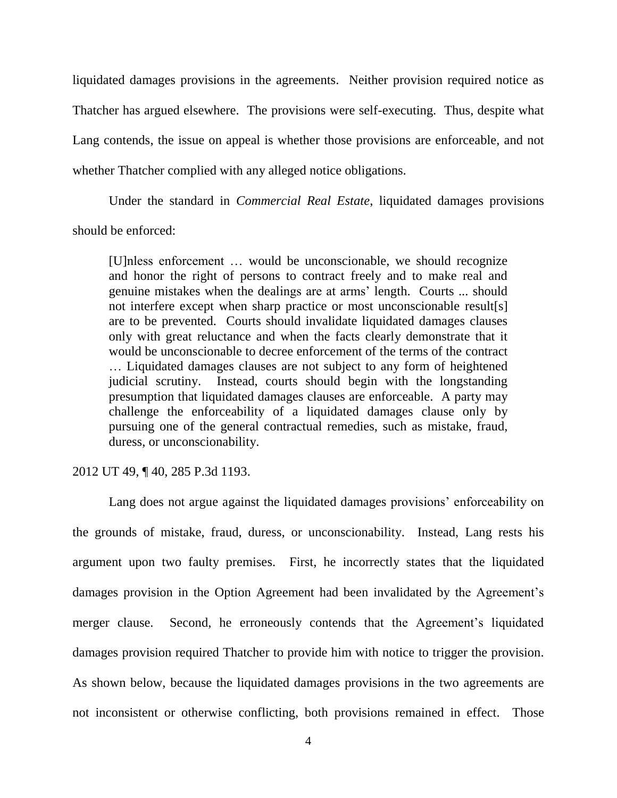liquidated damages provisions in the agreements. Neither provision required notice as Thatcher has argued elsewhere. The provisions were self-executing. Thus, despite what Lang contends, the issue on appeal is whether those provisions are enforceable, and not whether Thatcher complied with any alleged notice obligations.

Under the standard in *Commercial Real Estate*, liquidated damages provisions should be enforced:

[U]nless enforcement … would be unconscionable, we should recognize and honor the right of persons to contract freely and to make real and genuine mistakes when the dealings are at arms' length. Courts ... should not interfere except when sharp practice or most unconscionable result[s] are to be prevented. Courts should invalidate liquidated damages clauses only with great reluctance and when the facts clearly demonstrate that it would be unconscionable to decree enforcement of the terms of the contract … Liquidated damages clauses are not subject to any form of heightened judicial scrutiny. Instead, courts should begin with the longstanding presumption that liquidated damages clauses are enforceable. A party may challenge the enforceability of a liquidated damages clause only by pursuing one of the general contractual remedies, such as mistake, fraud, duress, or unconscionability.

2012 UT 49, ¶ 40, 285 P.3d 1193.

Lang does not argue against the liquidated damages provisions' enforceability on the grounds of mistake, fraud, duress, or unconscionability. Instead, Lang rests his argument upon two faulty premises. First, he incorrectly states that the liquidated damages provision in the Option Agreement had been invalidated by the Agreement's merger clause. Second, he erroneously contends that the Agreement's liquidated damages provision required Thatcher to provide him with notice to trigger the provision. As shown below, because the liquidated damages provisions in the two agreements are not inconsistent or otherwise conflicting, both provisions remained in effect. Those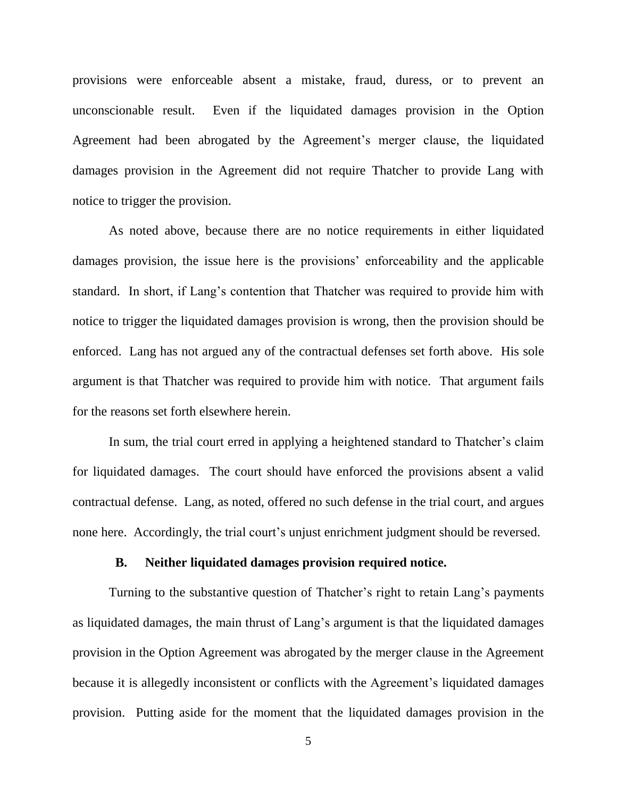provisions were enforceable absent a mistake, fraud, duress, or to prevent an unconscionable result. Even if the liquidated damages provision in the Option Agreement had been abrogated by the Agreement's merger clause, the liquidated damages provision in the Agreement did not require Thatcher to provide Lang with notice to trigger the provision.

As noted above, because there are no notice requirements in either liquidated damages provision, the issue here is the provisions' enforceability and the applicable standard. In short, if Lang's contention that Thatcher was required to provide him with notice to trigger the liquidated damages provision is wrong, then the provision should be enforced. Lang has not argued any of the contractual defenses set forth above. His sole argument is that Thatcher was required to provide him with notice. That argument fails for the reasons set forth elsewhere herein.

In sum, the trial court erred in applying a heightened standard to Thatcher's claim for liquidated damages. The court should have enforced the provisions absent a valid contractual defense. Lang, as noted, offered no such defense in the trial court, and argues none here. Accordingly, the trial court's unjust enrichment judgment should be reversed.

#### **B. Neither liquidated damages provision required notice.**

Turning to the substantive question of Thatcher's right to retain Lang's payments as liquidated damages, the main thrust of Lang's argument is that the liquidated damages provision in the Option Agreement was abrogated by the merger clause in the Agreement because it is allegedly inconsistent or conflicts with the Agreement's liquidated damages provision. Putting aside for the moment that the liquidated damages provision in the

5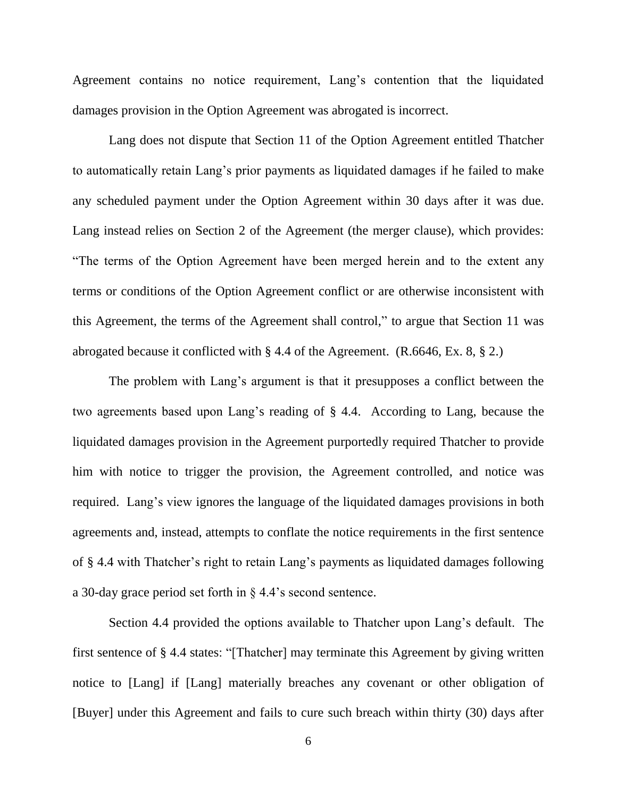Agreement contains no notice requirement, Lang's contention that the liquidated damages provision in the Option Agreement was abrogated is incorrect.

Lang does not dispute that Section 11 of the Option Agreement entitled Thatcher to automatically retain Lang's prior payments as liquidated damages if he failed to make any scheduled payment under the Option Agreement within 30 days after it was due. Lang instead relies on Section 2 of the Agreement (the merger clause), which provides: "The terms of the Option Agreement have been merged herein and to the extent any terms or conditions of the Option Agreement conflict or are otherwise inconsistent with this Agreement, the terms of the Agreement shall control," to argue that Section 11 was abrogated because it conflicted with § 4.4 of the Agreement. (R.6646, Ex. 8, § 2.)

The problem with Lang's argument is that it presupposes a conflict between the two agreements based upon Lang's reading of § 4.4. According to Lang, because the liquidated damages provision in the Agreement purportedly required Thatcher to provide him with notice to trigger the provision, the Agreement controlled, and notice was required. Lang's view ignores the language of the liquidated damages provisions in both agreements and, instead, attempts to conflate the notice requirements in the first sentence of § 4.4 with Thatcher's right to retain Lang's payments as liquidated damages following a 30-day grace period set forth in § 4.4's second sentence.

Section 4.4 provided the options available to Thatcher upon Lang's default. The first sentence of § 4.4 states: "[Thatcher] may terminate this Agreement by giving written notice to [Lang] if [Lang] materially breaches any covenant or other obligation of [Buyer] under this Agreement and fails to cure such breach within thirty (30) days after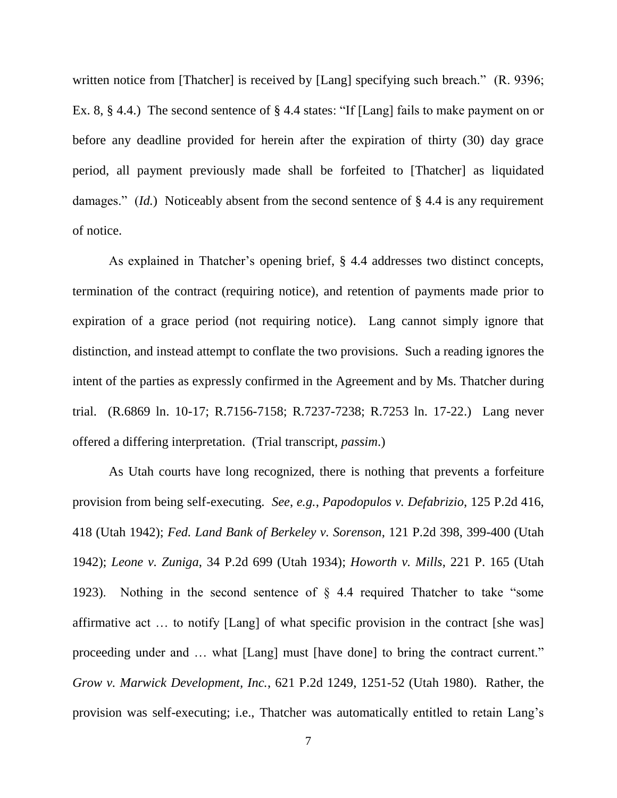written notice from [Thatcher] is received by [Lang] specifying such breach." (R. 9396; Ex. 8, § 4.4.) The second sentence of § 4.4 states: "If [Lang] fails to make payment on or before any deadline provided for herein after the expiration of thirty (30) day grace period, all payment previously made shall be forfeited to [Thatcher] as liquidated damages." *(Id.)* Noticeably absent from the second sentence of § 4.4 is any requirement of notice.

As explained in Thatcher's opening brief, § 4.4 addresses two distinct concepts, termination of the contract (requiring notice), and retention of payments made prior to expiration of a grace period (not requiring notice). Lang cannot simply ignore that distinction, and instead attempt to conflate the two provisions. Such a reading ignores the intent of the parties as expressly confirmed in the Agreement and by Ms. Thatcher during trial. (R.6869 ln. 10-17; R.7156-7158; R.7237-7238; R.7253 ln. 17-22.) Lang never offered a differing interpretation. (Trial transcript, *passim*.)

As Utah courts have long recognized, there is nothing that prevents a forfeiture provision from being self-executing. *See*, *e.g.*, *Papodopulos v. Defabrizio*, 125 P.2d 416, 418 (Utah 1942); *Fed. Land Bank of Berkeley v. Sorenson*, 121 P.2d 398, 399-400 (Utah 1942); *Leone v. Zuniga*, 34 P.2d 699 (Utah 1934); *Howorth v. Mills*, 221 P. 165 (Utah 1923). Nothing in the second sentence of § 4.4 required Thatcher to take "some affirmative act … to notify [Lang] of what specific provision in the contract [she was] proceeding under and … what [Lang] must [have done] to bring the contract current." *Grow v. Marwick Development, Inc.*, 621 P.2d 1249, 1251-52 (Utah 1980). Rather, the provision was self-executing; i.e., Thatcher was automatically entitled to retain Lang's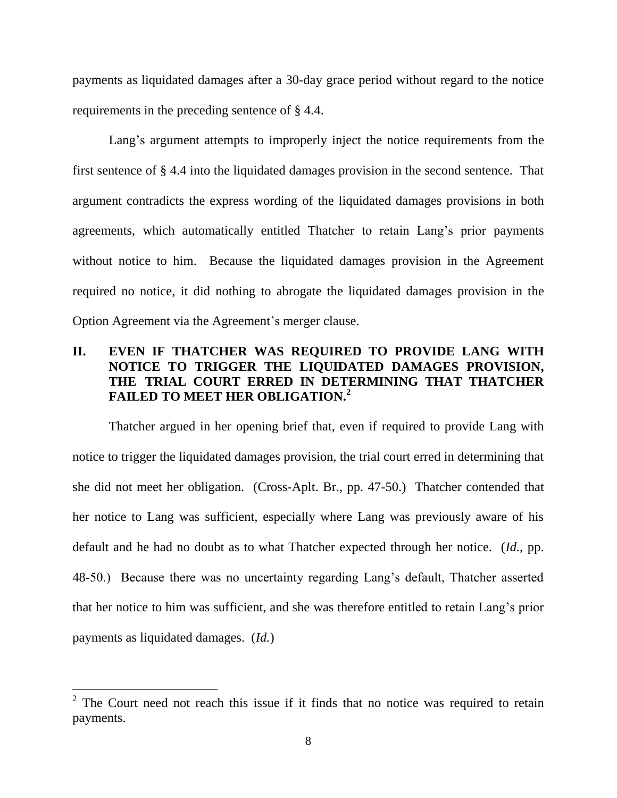payments as liquidated damages after a 30-day grace period without regard to the notice requirements in the preceding sentence of § 4.4.

Lang's argument attempts to improperly inject the notice requirements from the first sentence of § 4.4 into the liquidated damages provision in the second sentence. That argument contradicts the express wording of the liquidated damages provisions in both agreements, which automatically entitled Thatcher to retain Lang's prior payments without notice to him. Because the liquidated damages provision in the Agreement required no notice, it did nothing to abrogate the liquidated damages provision in the Option Agreement via the Agreement's merger clause.

## **II. EVEN IF THATCHER WAS REQUIRED TO PROVIDE LANG WITH NOTICE TO TRIGGER THE LIQUIDATED DAMAGES PROVISION, THE TRIAL COURT ERRED IN DETERMINING THAT THATCHER FAILED TO MEET HER OBLIGATION. 2**

Thatcher argued in her opening brief that, even if required to provide Lang with notice to trigger the liquidated damages provision, the trial court erred in determining that she did not meet her obligation. (Cross-Aplt. Br., pp. 47-50.) Thatcher contended that her notice to Lang was sufficient, especially where Lang was previously aware of his default and he had no doubt as to what Thatcher expected through her notice. (*Id.*, pp. 48-50.) Because there was no uncertainty regarding Lang's default, Thatcher asserted that her notice to him was sufficient, and she was therefore entitled to retain Lang's prior payments as liquidated damages. (*Id.*)

 $\overline{a}$ 

 $2^2$  The Court need not reach this issue if it finds that no notice was required to retain payments.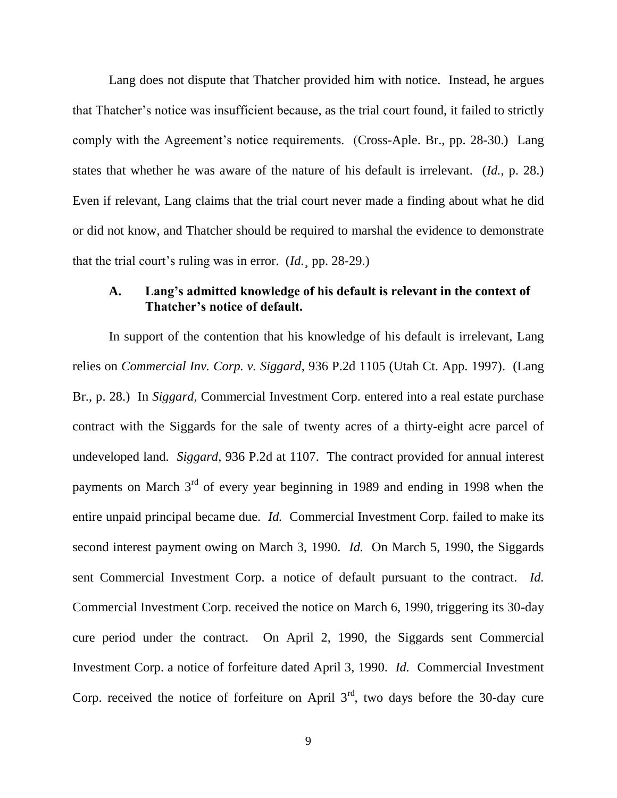Lang does not dispute that Thatcher provided him with notice. Instead, he argues that Thatcher's notice was insufficient because, as the trial court found, it failed to strictly comply with the Agreement's notice requirements. (Cross-Aple. Br., pp. 28-30.) Lang states that whether he was aware of the nature of his default is irrelevant. (*Id.*, p. 28.) Even if relevant, Lang claims that the trial court never made a finding about what he did or did not know, and Thatcher should be required to marshal the evidence to demonstrate that the trial court's ruling was in error. (*Id.*¸ pp. 28-29.)

#### **A. Lang's admitted knowledge of his default is relevant in the context of Thatcher's notice of default.**

In support of the contention that his knowledge of his default is irrelevant, Lang relies on *Commercial Inv. Corp. v. Siggard*, 936 P.2d 1105 (Utah Ct. App. 1997). (Lang Br., p. 28.) In *Siggard*, Commercial Investment Corp. entered into a real estate purchase contract with the Siggards for the sale of twenty acres of a thirty-eight acre parcel of undeveloped land. *Siggard*, 936 P.2d at 1107. The contract provided for annual interest payments on March  $3<sup>rd</sup>$  of every year beginning in 1989 and ending in 1998 when the entire unpaid principal became due. *Id.* Commercial Investment Corp. failed to make its second interest payment owing on March 3, 1990. *Id.* On March 5, 1990, the Siggards sent Commercial Investment Corp. a notice of default pursuant to the contract. *Id.* Commercial Investment Corp. received the notice on March 6, 1990, triggering its 30-day cure period under the contract. On April 2, 1990, the Siggards sent Commercial Investment Corp. a notice of forfeiture dated April 3, 1990. *Id.* Commercial Investment Corp. received the notice of forfeiture on April  $3<sup>rd</sup>$ , two days before the 30-day cure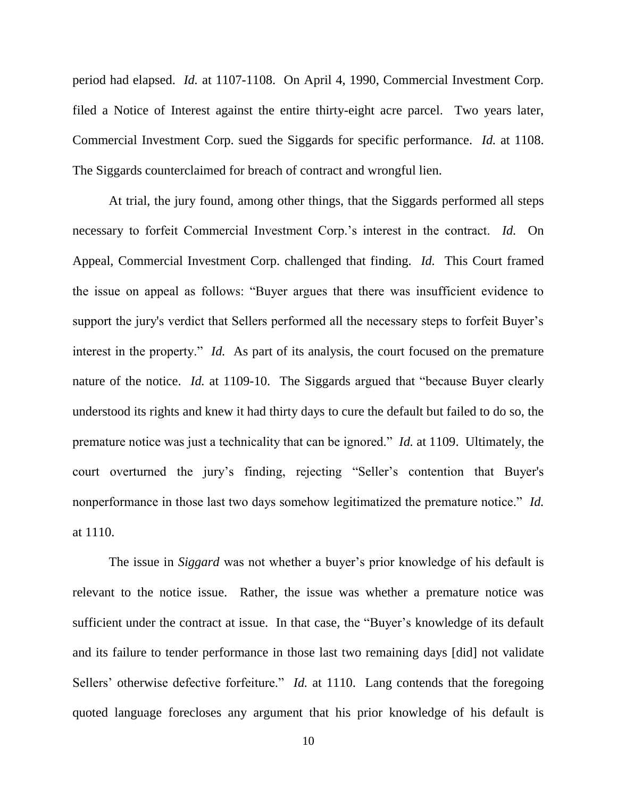period had elapsed. *Id.* at 1107-1108. On April 4, 1990, Commercial Investment Corp. filed a Notice of Interest against the entire thirty-eight acre parcel. Two years later, Commercial Investment Corp. sued the Siggards for specific performance. *Id.* at 1108. The Siggards counterclaimed for breach of contract and wrongful lien.

At trial, the jury found, among other things, that the Siggards performed all steps necessary to forfeit Commercial Investment Corp.'s interest in the contract. *Id.* On Appeal, Commercial Investment Corp. challenged that finding. *Id.* This Court framed the issue on appeal as follows: "Buyer argues that there was insufficient evidence to support the jury's verdict that Sellers performed all the necessary steps to forfeit Buyer's interest in the property." *Id.* As part of its analysis, the court focused on the premature nature of the notice. *Id.* at 1109-10. The Siggards argued that "because Buyer clearly understood its rights and knew it had thirty days to cure the default but failed to do so, the premature notice was just a technicality that can be ignored." *Id.* at 1109. Ultimately, the court overturned the jury's finding, rejecting "Seller's contention that Buyer's nonperformance in those last two days somehow legitimatized the premature notice." *Id.* at 1110.

The issue in *Siggard* was not whether a buyer's prior knowledge of his default is relevant to the notice issue. Rather, the issue was whether a premature notice was sufficient under the contract at issue. In that case, the "Buyer's knowledge of its default and its failure to tender performance in those last two remaining days [did] not validate Sellers' otherwise defective forfeiture." *Id.* at 1110. Lang contends that the foregoing quoted language forecloses any argument that his prior knowledge of his default is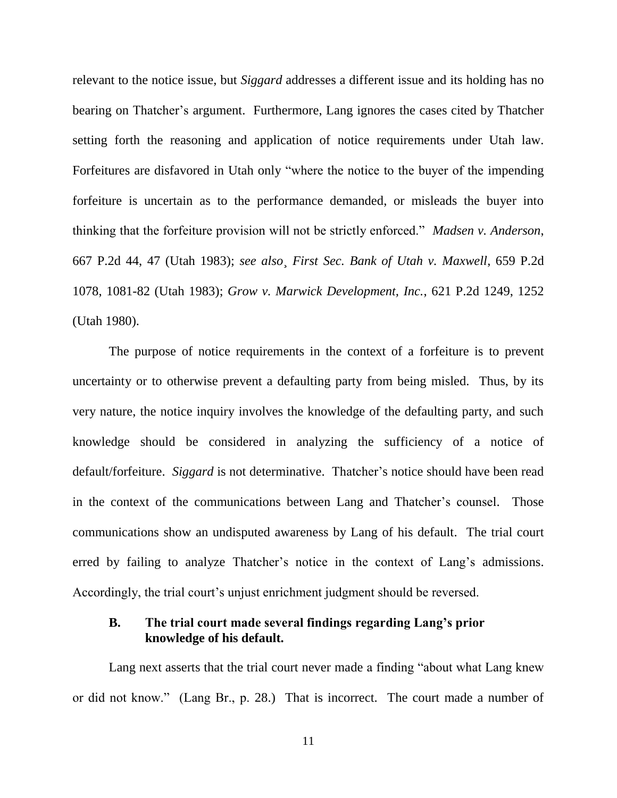relevant to the notice issue, but *Siggard* addresses a different issue and its holding has no bearing on Thatcher's argument. Furthermore, Lang ignores the cases cited by Thatcher setting forth the reasoning and application of notice requirements under Utah law. Forfeitures are disfavored in Utah only "where the notice to the buyer of the impending forfeiture is uncertain as to the performance demanded, or misleads the buyer into thinking that the forfeiture provision will not be strictly enforced." *Madsen v. Anderson*, 667 P.2d 44, 47 (Utah 1983); *see also*¸ *First Sec. Bank of Utah v. Maxwell*, 659 P.2d 1078, 1081-82 (Utah 1983); *Grow v. Marwick Development, Inc.*, 621 P.2d 1249, 1252 (Utah 1980).

The purpose of notice requirements in the context of a forfeiture is to prevent uncertainty or to otherwise prevent a defaulting party from being misled. Thus, by its very nature, the notice inquiry involves the knowledge of the defaulting party, and such knowledge should be considered in analyzing the sufficiency of a notice of default/forfeiture. *Siggard* is not determinative. Thatcher's notice should have been read in the context of the communications between Lang and Thatcher's counsel. Those communications show an undisputed awareness by Lang of his default. The trial court erred by failing to analyze Thatcher's notice in the context of Lang's admissions. Accordingly, the trial court's unjust enrichment judgment should be reversed.

#### **B. The trial court made several findings regarding Lang's prior knowledge of his default.**

Lang next asserts that the trial court never made a finding "about what Lang knew or did not know." (Lang Br., p. 28.) That is incorrect. The court made a number of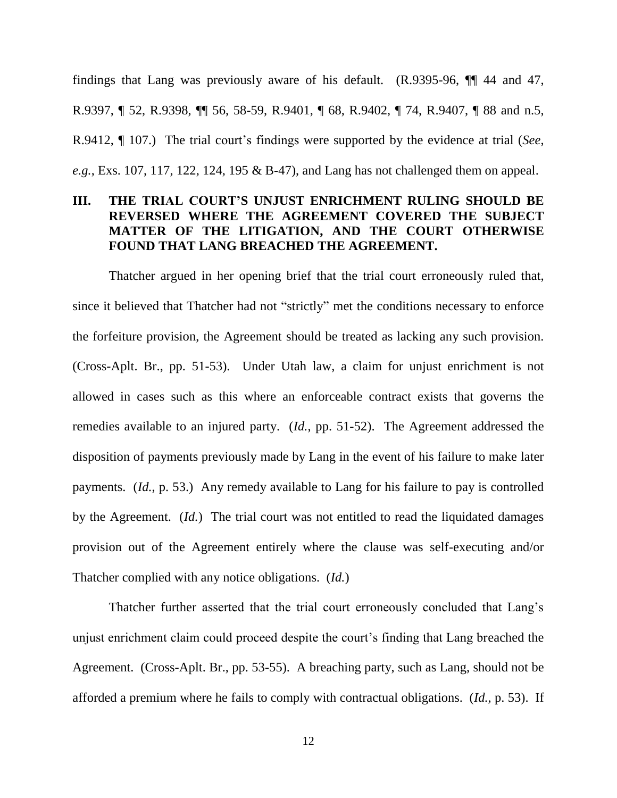findings that Lang was previously aware of his default. (R.9395-96, ¶¶ 44 and 47, R.9397, ¶ 52, R.9398, ¶¶ 56, 58-59, R.9401, ¶ 68, R.9402, ¶ 74, R.9407, ¶ 88 and n.5, R.9412, ¶ 107.) The trial court's findings were supported by the evidence at trial (*See*, *e.g.*, Exs. 107, 117, 122, 124, 195 & B-47), and Lang has not challenged them on appeal.

#### **III. THE TRIAL COURT'S UNJUST ENRICHMENT RULING SHOULD BE REVERSED WHERE THE AGREEMENT COVERED THE SUBJECT MATTER OF THE LITIGATION, AND THE COURT OTHERWISE FOUND THAT LANG BREACHED THE AGREEMENT.**

Thatcher argued in her opening brief that the trial court erroneously ruled that, since it believed that Thatcher had not "strictly" met the conditions necessary to enforce the forfeiture provision, the Agreement should be treated as lacking any such provision. (Cross-Aplt. Br., pp. 51-53). Under Utah law, a claim for unjust enrichment is not allowed in cases such as this where an enforceable contract exists that governs the remedies available to an injured party. (*Id.*, pp. 51-52). The Agreement addressed the disposition of payments previously made by Lang in the event of his failure to make later payments. (*Id.*, p. 53.) Any remedy available to Lang for his failure to pay is controlled by the Agreement. (*Id.*) The trial court was not entitled to read the liquidated damages provision out of the Agreement entirely where the clause was self-executing and/or Thatcher complied with any notice obligations. (*Id.*)

Thatcher further asserted that the trial court erroneously concluded that Lang's unjust enrichment claim could proceed despite the court's finding that Lang breached the Agreement. (Cross-Aplt. Br., pp. 53-55). A breaching party, such as Lang, should not be afforded a premium where he fails to comply with contractual obligations. (*Id.*, p. 53). If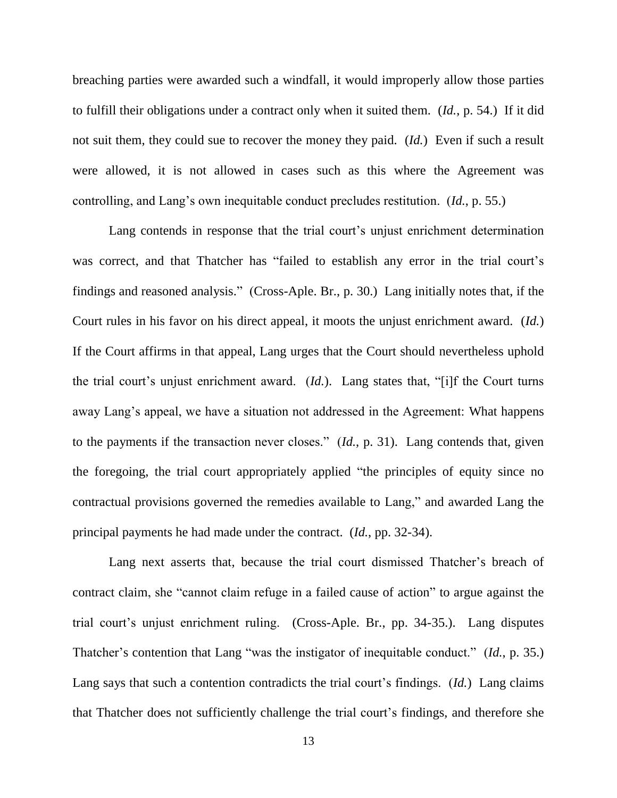breaching parties were awarded such a windfall, it would improperly allow those parties to fulfill their obligations under a contract only when it suited them. (*Id.*, p. 54.) If it did not suit them, they could sue to recover the money they paid. (*Id.*) Even if such a result were allowed, it is not allowed in cases such as this where the Agreement was controlling, and Lang's own inequitable conduct precludes restitution. (*Id.*, p. 55.)

Lang contends in response that the trial court's unjust enrichment determination was correct, and that Thatcher has "failed to establish any error in the trial court's findings and reasoned analysis." (Cross-Aple. Br., p. 30.) Lang initially notes that, if the Court rules in his favor on his direct appeal, it moots the unjust enrichment award. (*Id.*) If the Court affirms in that appeal, Lang urges that the Court should nevertheless uphold the trial court's unjust enrichment award. (*Id.*). Lang states that, "[i]f the Court turns away Lang's appeal, we have a situation not addressed in the Agreement: What happens to the payments if the transaction never closes." (*Id.*, p. 31). Lang contends that, given the foregoing, the trial court appropriately applied "the principles of equity since no contractual provisions governed the remedies available to Lang," and awarded Lang the principal payments he had made under the contract. (*Id.*, pp. 32-34).

Lang next asserts that, because the trial court dismissed Thatcher's breach of contract claim, she "cannot claim refuge in a failed cause of action" to argue against the trial court's unjust enrichment ruling. (Cross-Aple. Br., pp. 34-35.). Lang disputes Thatcher's contention that Lang "was the instigator of inequitable conduct." (*Id.*, p. 35.) Lang says that such a contention contradicts the trial court's findings. (*Id.*) Lang claims that Thatcher does not sufficiently challenge the trial court's findings, and therefore she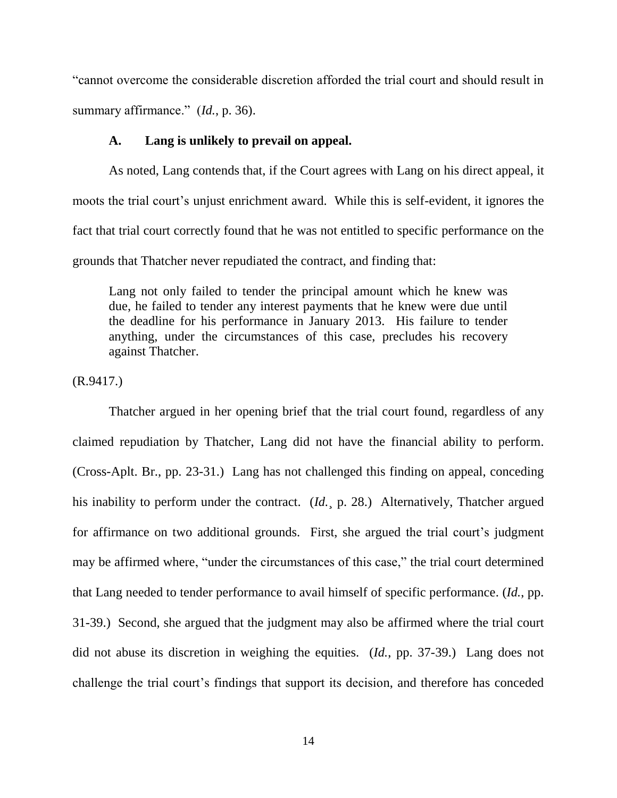"cannot overcome the considerable discretion afforded the trial court and should result in summary affirmance." (*Id.*, p. 36).

#### **A. Lang is unlikely to prevail on appeal.**

As noted, Lang contends that, if the Court agrees with Lang on his direct appeal, it moots the trial court's unjust enrichment award. While this is self-evident, it ignores the fact that trial court correctly found that he was not entitled to specific performance on the grounds that Thatcher never repudiated the contract, and finding that:

Lang not only failed to tender the principal amount which he knew was due, he failed to tender any interest payments that he knew were due until the deadline for his performance in January 2013. His failure to tender anything, under the circumstances of this case, precludes his recovery against Thatcher.

(R.9417.)

Thatcher argued in her opening brief that the trial court found, regardless of any claimed repudiation by Thatcher, Lang did not have the financial ability to perform. (Cross-Aplt. Br., pp. 23-31.) Lang has not challenged this finding on appeal, conceding his inability to perform under the contract. (*Id.*, p. 28.) Alternatively, Thatcher argued for affirmance on two additional grounds. First, she argued the trial court's judgment may be affirmed where, "under the circumstances of this case," the trial court determined that Lang needed to tender performance to avail himself of specific performance. (*Id.*, pp. 31-39.) Second, she argued that the judgment may also be affirmed where the trial court did not abuse its discretion in weighing the equities. (*Id.*, pp. 37-39.) Lang does not challenge the trial court's findings that support its decision, and therefore has conceded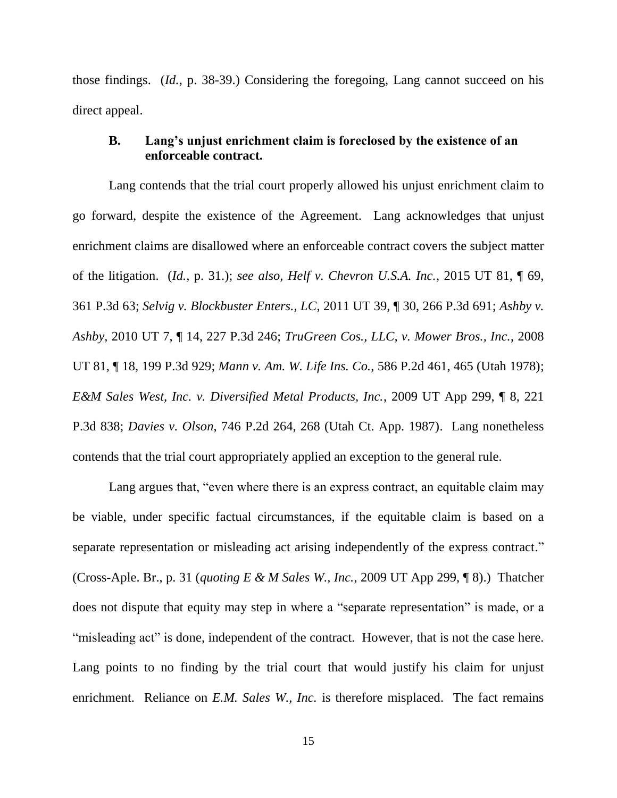those findings. (*Id.*, p. 38-39.) Considering the foregoing, Lang cannot succeed on his direct appeal.

#### **B. Lang's unjust enrichment claim is foreclosed by the existence of an enforceable contract.**

Lang contends that the trial court properly allowed his unjust enrichment claim to go forward, despite the existence of the Agreement. Lang acknowledges that unjust enrichment claims are disallowed where an enforceable contract covers the subject matter of the litigation. (*Id.*, p. 31.); *see also*, *Helf v. Chevron U.S.A. Inc.*, 2015 UT 81, ¶ 69, 361 P.3d 63; *Selvig v. Blockbuster Enters., LC*, 2011 UT 39, ¶ 30, 266 P.3d 691; *Ashby v. Ashby*, 2010 UT 7, ¶ 14, 227 P.3d 246; *TruGreen Cos., LLC, v. Mower Bros., Inc.*, 2008 UT 81, ¶ 18, 199 P.3d 929; *Mann v. Am. W. Life Ins. Co.*, 586 P.2d 461, 465 (Utah 1978); *E&M Sales West, Inc. v. Diversified Metal Products, Inc.*, 2009 UT App 299, ¶ 8, 221 P.3d 838; *Davies v. Olson*, 746 P.2d 264, 268 (Utah Ct. App. 1987). Lang nonetheless contends that the trial court appropriately applied an exception to the general rule.

Lang argues that, "even where there is an express contract, an equitable claim may be viable, under specific factual circumstances, if the equitable claim is based on a separate representation or misleading act arising independently of the express contract." (Cross-Aple. Br., p. 31 (*quoting E & M Sales W., Inc.*, 2009 UT App 299, ¶ 8).) Thatcher does not dispute that equity may step in where a "separate representation" is made, or a "misleading act" is done, independent of the contract. However, that is not the case here. Lang points to no finding by the trial court that would justify his claim for unjust enrichment. Reliance on *E.M. Sales W., Inc.* is therefore misplaced. The fact remains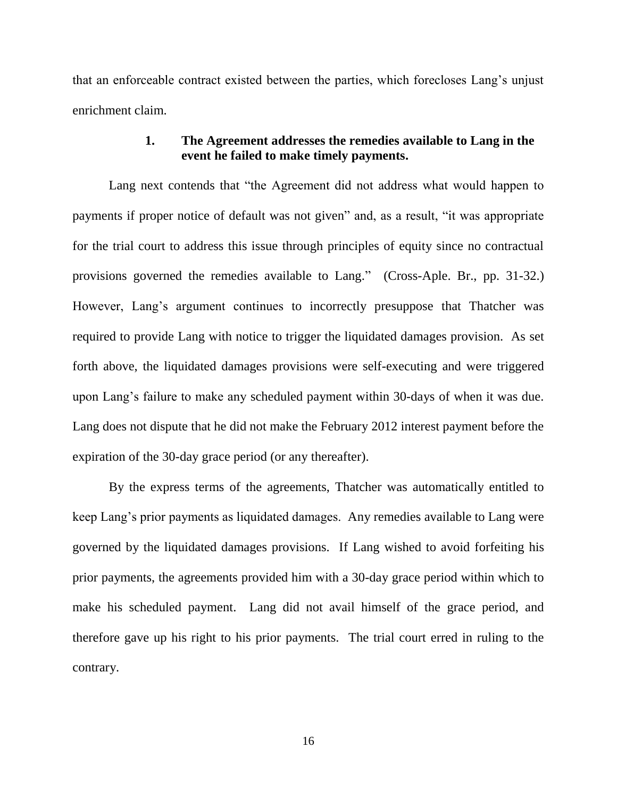that an enforceable contract existed between the parties, which forecloses Lang's unjust enrichment claim.

#### **1. The Agreement addresses the remedies available to Lang in the event he failed to make timely payments.**

Lang next contends that "the Agreement did not address what would happen to payments if proper notice of default was not given" and, as a result, "it was appropriate for the trial court to address this issue through principles of equity since no contractual provisions governed the remedies available to Lang." (Cross-Aple. Br., pp. 31-32.) However, Lang's argument continues to incorrectly presuppose that Thatcher was required to provide Lang with notice to trigger the liquidated damages provision. As set forth above, the liquidated damages provisions were self-executing and were triggered upon Lang's failure to make any scheduled payment within 30-days of when it was due. Lang does not dispute that he did not make the February 2012 interest payment before the expiration of the 30-day grace period (or any thereafter).

By the express terms of the agreements, Thatcher was automatically entitled to keep Lang's prior payments as liquidated damages. Any remedies available to Lang were governed by the liquidated damages provisions. If Lang wished to avoid forfeiting his prior payments, the agreements provided him with a 30-day grace period within which to make his scheduled payment. Lang did not avail himself of the grace period, and therefore gave up his right to his prior payments. The trial court erred in ruling to the contrary.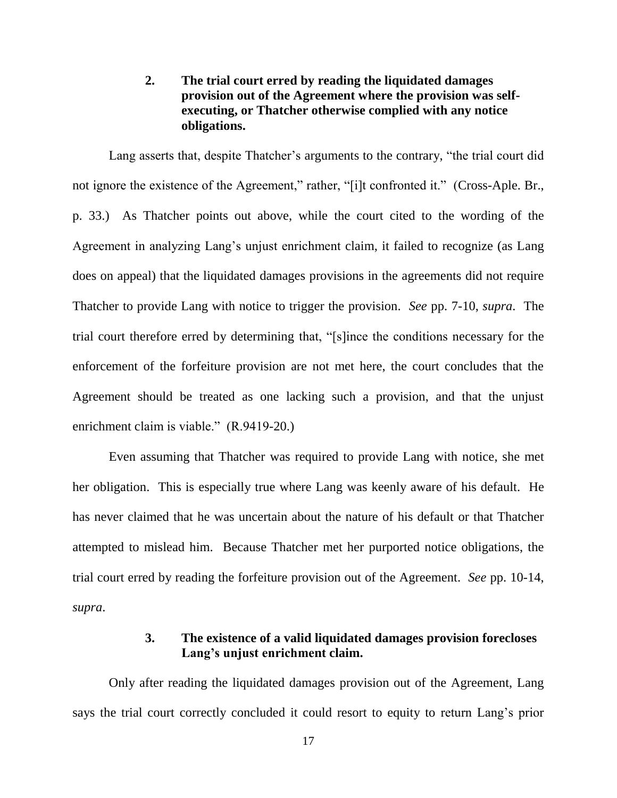#### **2. The trial court erred by reading the liquidated damages provision out of the Agreement where the provision was selfexecuting, or Thatcher otherwise complied with any notice obligations.**

Lang asserts that, despite Thatcher's arguments to the contrary, "the trial court did not ignore the existence of the Agreement," rather, "[i]t confronted it." (Cross-Aple. Br., p. 33.) As Thatcher points out above, while the court cited to the wording of the Agreement in analyzing Lang's unjust enrichment claim, it failed to recognize (as Lang does on appeal) that the liquidated damages provisions in the agreements did not require Thatcher to provide Lang with notice to trigger the provision. *See* pp. 7-10, *supra*. The trial court therefore erred by determining that, "[s]ince the conditions necessary for the enforcement of the forfeiture provision are not met here, the court concludes that the Agreement should be treated as one lacking such a provision, and that the unjust enrichment claim is viable." (R.9419-20.)

Even assuming that Thatcher was required to provide Lang with notice, she met her obligation. This is especially true where Lang was keenly aware of his default. He has never claimed that he was uncertain about the nature of his default or that Thatcher attempted to mislead him. Because Thatcher met her purported notice obligations, the trial court erred by reading the forfeiture provision out of the Agreement. *See* pp. 10-14, *supra*.

#### **3. The existence of a valid liquidated damages provision forecloses Lang's unjust enrichment claim.**

Only after reading the liquidated damages provision out of the Agreement, Lang says the trial court correctly concluded it could resort to equity to return Lang's prior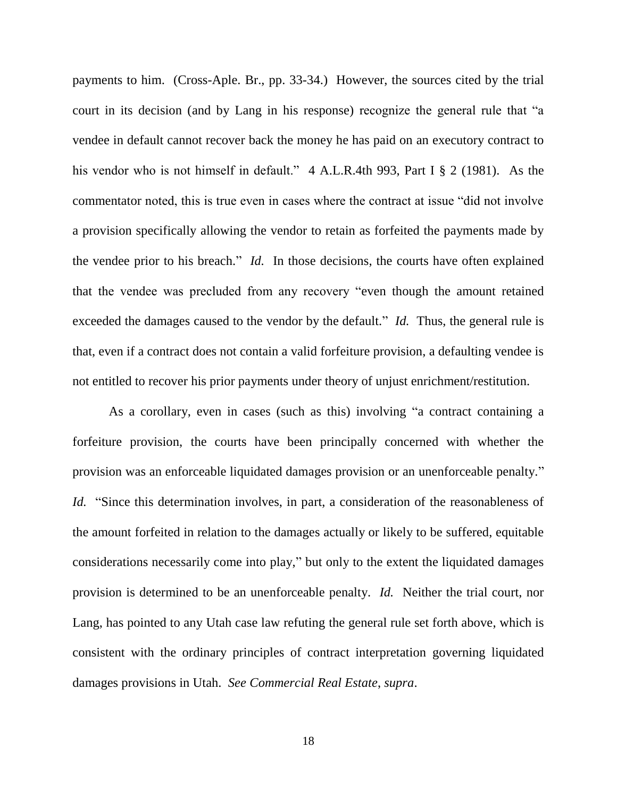payments to him. (Cross-Aple. Br., pp. 33-34.) However, the sources cited by the trial court in its decision (and by Lang in his response) recognize the general rule that "a vendee in default cannot recover back the money he has paid on an executory contract to his vendor who is not himself in default." 4 A.L.R.4th 993, Part I § 2 (1981). As the commentator noted, this is true even in cases where the contract at issue "did not involve a provision specifically allowing the vendor to retain as forfeited the payments made by the vendee prior to his breach." *Id.* In those decisions, the courts have often explained that the vendee was precluded from any recovery "even though the amount retained exceeded the damages caused to the vendor by the default." *Id.* Thus, the general rule is that, even if a contract does not contain a valid forfeiture provision, a defaulting vendee is not entitled to recover his prior payments under theory of unjust enrichment/restitution.

As a corollary, even in cases (such as this) involving "a contract containing a forfeiture provision, the courts have been principally concerned with whether the provision was an enforceable liquidated damages provision or an unenforceable penalty." *Id.* "Since this determination involves, in part, a consideration of the reasonableness of the amount forfeited in relation to the damages actually or likely to be suffered, equitable considerations necessarily come into play," but only to the extent the liquidated damages provision is determined to be an unenforceable penalty. *Id.* Neither the trial court, nor Lang, has pointed to any Utah case law refuting the general rule set forth above, which is consistent with the ordinary principles of contract interpretation governing liquidated damages provisions in Utah. *See Commercial Real Estate*, *supra*.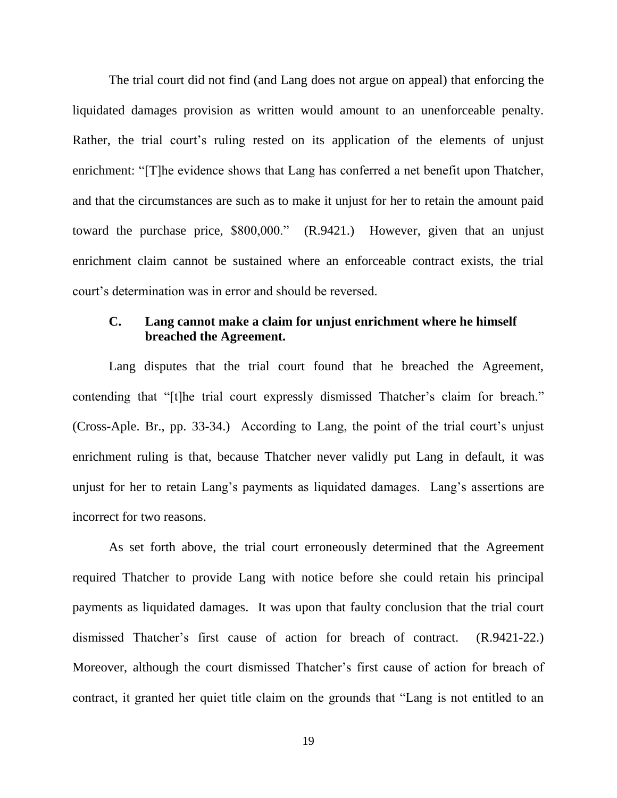The trial court did not find (and Lang does not argue on appeal) that enforcing the liquidated damages provision as written would amount to an unenforceable penalty. Rather, the trial court's ruling rested on its application of the elements of unjust enrichment: "[T]he evidence shows that Lang has conferred a net benefit upon Thatcher, and that the circumstances are such as to make it unjust for her to retain the amount paid toward the purchase price, \$800,000." (R.9421.) However, given that an unjust enrichment claim cannot be sustained where an enforceable contract exists, the trial court's determination was in error and should be reversed.

#### **C. Lang cannot make a claim for unjust enrichment where he himself breached the Agreement.**

Lang disputes that the trial court found that he breached the Agreement, contending that "[t]he trial court expressly dismissed Thatcher's claim for breach." (Cross-Aple. Br., pp. 33-34.) According to Lang, the point of the trial court's unjust enrichment ruling is that, because Thatcher never validly put Lang in default, it was unjust for her to retain Lang's payments as liquidated damages. Lang's assertions are incorrect for two reasons.

As set forth above, the trial court erroneously determined that the Agreement required Thatcher to provide Lang with notice before she could retain his principal payments as liquidated damages. It was upon that faulty conclusion that the trial court dismissed Thatcher's first cause of action for breach of contract. (R.9421-22.) Moreover, although the court dismissed Thatcher's first cause of action for breach of contract, it granted her quiet title claim on the grounds that "Lang is not entitled to an

19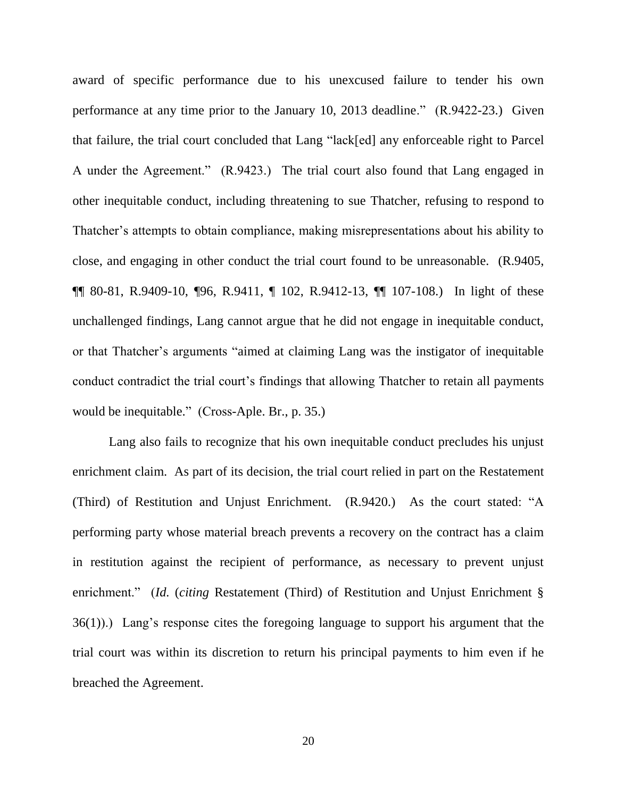award of specific performance due to his unexcused failure to tender his own performance at any time prior to the January 10, 2013 deadline." (R.9422-23.) Given that failure, the trial court concluded that Lang "lack[ed] any enforceable right to Parcel A under the Agreement." (R.9423.) The trial court also found that Lang engaged in other inequitable conduct, including threatening to sue Thatcher, refusing to respond to Thatcher's attempts to obtain compliance, making misrepresentations about his ability to close, and engaging in other conduct the trial court found to be unreasonable. (R.9405, ¶¶ 80-81, R.9409-10, ¶96, R.9411, ¶ 102, R.9412-13, ¶¶ 107-108.) In light of these unchallenged findings, Lang cannot argue that he did not engage in inequitable conduct, or that Thatcher's arguments "aimed at claiming Lang was the instigator of inequitable conduct contradict the trial court's findings that allowing Thatcher to retain all payments would be inequitable." (Cross-Aple. Br., p. 35.)

Lang also fails to recognize that his own inequitable conduct precludes his unjust enrichment claim. As part of its decision, the trial court relied in part on the Restatement (Third) of Restitution and Unjust Enrichment. (R.9420.) As the court stated: "A performing party whose material breach prevents a recovery on the contract has a claim in restitution against the recipient of performance, as necessary to prevent unjust enrichment." *(Id. (citing Restatement (Third)* of Restitution and Unjust Enrichment § 36(1)).) Lang's response cites the foregoing language to support his argument that the trial court was within its discretion to return his principal payments to him even if he breached the Agreement.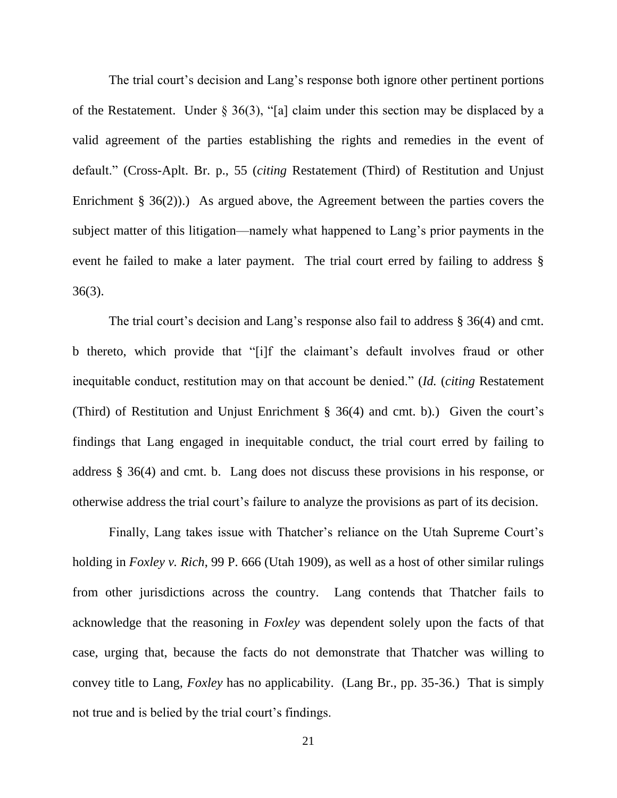The trial court's decision and Lang's response both ignore other pertinent portions of the Restatement. Under § 36(3), "[a] claim under this section may be displaced by a valid agreement of the parties establishing the rights and remedies in the event of default." (Cross-Aplt. Br. p., 55 (*citing* Restatement (Third) of Restitution and Unjust Enrichment § 36(2)).) As argued above, the Agreement between the parties covers the subject matter of this litigation—namely what happened to Lang's prior payments in the event he failed to make a later payment. The trial court erred by failing to address § 36(3).

The trial court's decision and Lang's response also fail to address § 36(4) and cmt. b thereto, which provide that "[i]f the claimant's default involves fraud or other inequitable conduct, restitution may on that account be denied." (*Id.* (*citing* Restatement (Third) of Restitution and Unjust Enrichment § 36(4) and cmt. b).) Given the court's findings that Lang engaged in inequitable conduct, the trial court erred by failing to address § 36(4) and cmt. b. Lang does not discuss these provisions in his response, or otherwise address the trial court's failure to analyze the provisions as part of its decision.

Finally, Lang takes issue with Thatcher's reliance on the Utah Supreme Court's holding in *Foxley v. Rich*, 99 P. 666 (Utah 1909), as well as a host of other similar rulings from other jurisdictions across the country. Lang contends that Thatcher fails to acknowledge that the reasoning in *Foxley* was dependent solely upon the facts of that case, urging that, because the facts do not demonstrate that Thatcher was willing to convey title to Lang, *Foxley* has no applicability. (Lang Br., pp. 35-36.) That is simply not true and is belied by the trial court's findings.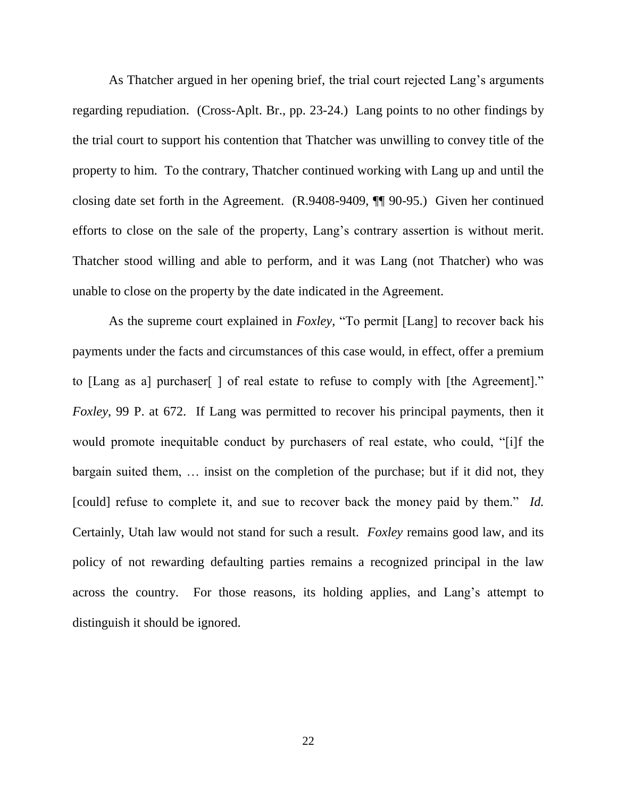As Thatcher argued in her opening brief, the trial court rejected Lang's arguments regarding repudiation. (Cross-Aplt. Br., pp. 23-24.) Lang points to no other findings by the trial court to support his contention that Thatcher was unwilling to convey title of the property to him. To the contrary, Thatcher continued working with Lang up and until the closing date set forth in the Agreement. (R.9408-9409, ¶¶ 90-95.) Given her continued efforts to close on the sale of the property, Lang's contrary assertion is without merit. Thatcher stood willing and able to perform, and it was Lang (not Thatcher) who was unable to close on the property by the date indicated in the Agreement.

As the supreme court explained in *Foxley*, "To permit [Lang] to recover back his payments under the facts and circumstances of this case would, in effect, offer a premium to [Lang as a] purchaser[ ] of real estate to refuse to comply with [the Agreement]." *Foxley*, 99 P. at 672.If Lang was permitted to recover his principal payments, then it would promote inequitable conduct by purchasers of real estate, who could, "[i]f the bargain suited them, … insist on the completion of the purchase; but if it did not, they [could] refuse to complete it, and sue to recover back the money paid by them." *Id.* Certainly, Utah law would not stand for such a result. *Foxley* remains good law, and its policy of not rewarding defaulting parties remains a recognized principal in the law across the country. For those reasons, its holding applies, and Lang's attempt to distinguish it should be ignored.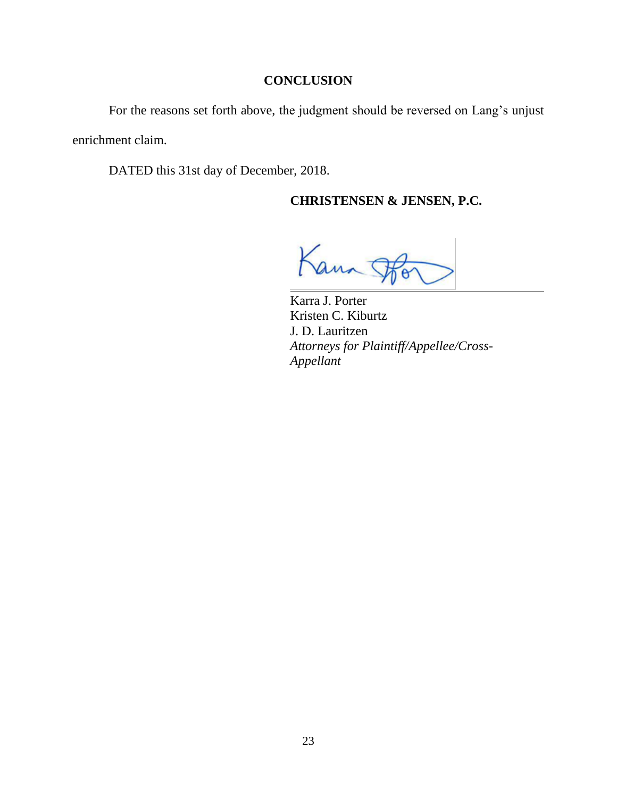#### **CONCLUSION**

For the reasons set forth above, the judgment should be reversed on Lang's unjust enrichment claim.

DATED this 31st day of December, 2018.

## **CHRISTENSEN & JENSEN, P.C.**

Kann

Karra J. Porter Kristen C. Kiburtz J. D. Lauritzen *Attorneys for Plaintiff/Appellee/Cross-Appellant*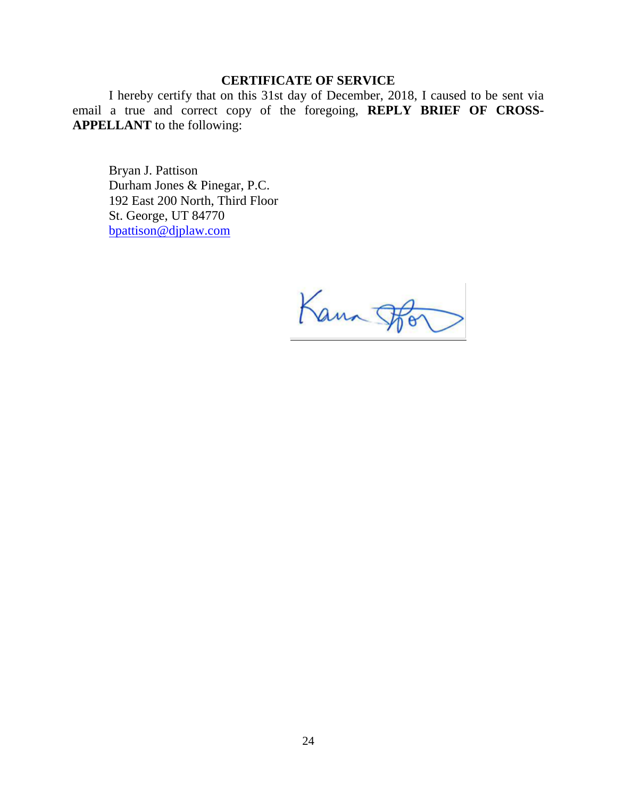## **CERTIFICATE OF SERVICE**

I hereby certify that on this 31st day of December, 2018, I caused to be sent via email a true and correct copy of the foregoing, **REPLY BRIEF OF CROSS-APPELLANT** to the following:

Bryan J. Pattison Durham Jones & Pinegar, P.C. 192 East 200 North, Third Floor St. George, UT 84770 [bpattison@djplaw.com](mailto:bpattison@djplaw.com)

Kann F